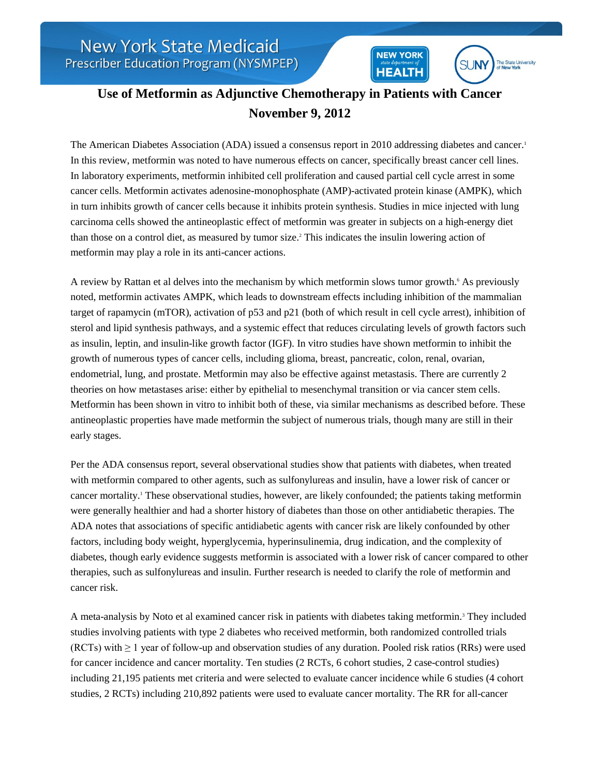The State University **SUNY** 

**NEW YORK** 

**HEALTH** 

## **Use of Metformin as Adjunctive Chemotherapy in Patients with Cancer November 9, 2012**

The American Diabetes Association (ADA) issued a consensus report in 2010 addressing diabetes and cancer.<sup>1</sup> In this review, metformin was noted to have numerous effects on cancer, specifically breast cancer cell lines. In laboratory experiments, metformin inhibited cell proliferation and caused partial cell cycle arrest in some cancer cells. Metformin activates adenosine-monophosphate (AMP)-activated protein kinase (AMPK), which in turn inhibits growth of cancer cells because it inhibits protein synthesis. Studies in mice injected with lung carcinoma cells showed the antineoplastic effect of metformin was greater in subjects on a high-energy diet than those on a control diet, as measured by tumor size.<sup>2</sup> This indicates the insulin lowering action of metformin may play a role in its anti-cancer actions.

A review by Rattan et al delves into the mechanism by which metformin slows tumor growth.<sup>6</sup> As previously noted, metformin activates AMPK, which leads to downstream effects including inhibition of the mammalian target of rapamycin (mTOR), activation of p53 and p21 (both of which result in cell cycle arrest), inhibition of sterol and lipid synthesis pathways, and a systemic effect that reduces circulating levels of growth factors such as insulin, leptin, and insulin-like growth factor (IGF). In vitro studies have shown metformin to inhibit the growth of numerous types of cancer cells, including glioma, breast, pancreatic, colon, renal, ovarian, endometrial, lung, and prostate. Metformin may also be effective against metastasis. There are currently 2 theories on how metastases arise: either by epithelial to mesenchymal transition or via cancer stem cells. Metformin has been shown in vitro to inhibit both of these, via similar mechanisms as described before. These antineoplastic properties have made metformin the subject of numerous trials, though many are still in their early stages.

Per the ADA consensus report, several observational studies show that patients with diabetes, when treated with metformin compared to other agents, such as sulfonylureas and insulin, have a lower risk of cancer or cancer mortality.<sup>1</sup> These observational studies, however, are likely confounded; the patients taking metformin were generally healthier and had a shorter history of diabetes than those on other antidiabetic therapies. The ADA notes that associations of specific antidiabetic agents with cancer risk are likely confounded by other factors, including body weight, hyperglycemia, hyperinsulinemia, drug indication, and the complexity of diabetes, though early evidence suggests metformin is associated with a lower risk of cancer compared to other therapies, such as sulfonylureas and insulin. Further research is needed to clarify the role of metformin and cancer risk.

A meta-analysis by Noto et al examined cancer risk in patients with diabetes taking metformin.<sup>3</sup> They included studies involving patients with type 2 diabetes who received metformin, both randomized controlled trials (RCTs) with ≥ 1 year of follow-up and observation studies of any duration. Pooled risk ratios (RRs) were used for cancer incidence and cancer mortality. Ten studies (2 RCTs, 6 cohort studies, 2 case-control studies) including 21,195 patients met criteria and were selected to evaluate cancer incidence while 6 studies (4 cohort studies, 2 RCTs) including 210,892 patients were used to evaluate cancer mortality. The RR for all-cancer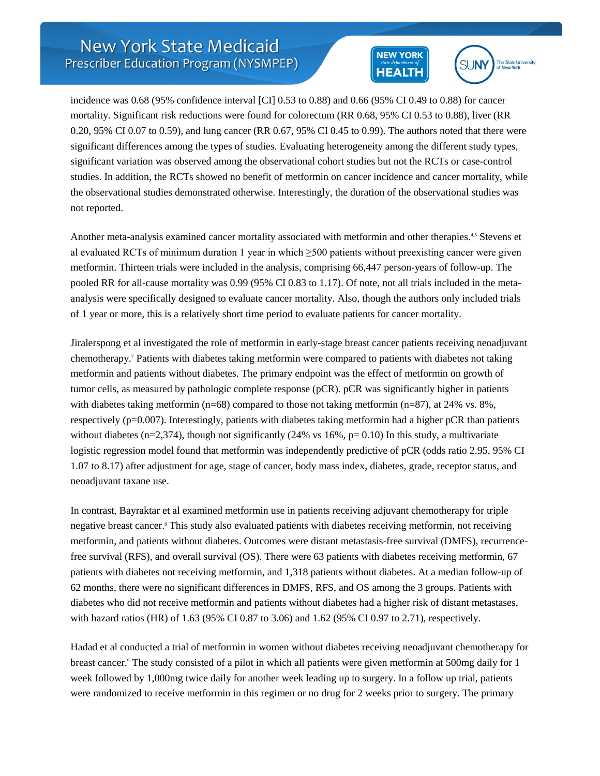## **NEW YORK HEALTH**



incidence was 0.68 (95% confidence interval [CI] 0.53 to 0.88) and 0.66 (95% CI 0.49 to 0.88) for cancer mortality. Significant risk reductions were found for colorectum (RR 0.68, 95% CI 0.53 to 0.88), liver (RR 0.20, 95% CI 0.07 to 0.59), and lung cancer (RR 0.67, 95% CI 0.45 to 0.99). The authors noted that there were significant differences among the types of studies. Evaluating heterogeneity among the different study types, significant variation was observed among the observational cohort studies but not the RCTs or case-control studies. In addition, the RCTs showed no benefit of metformin on cancer incidence and cancer mortality, while the observational studies demonstrated otherwise. Interestingly, the duration of the observational studies was not reported.

Another meta-analysis examined cancer mortality associated with metformin and other therapies.<sup>4,5</sup> Stevens et al evaluated RCTs of minimum duration 1 year in which  $\geq$ 500 patients without preexisting cancer were given metformin. Thirteen trials were included in the analysis, comprising 66,447 person-years of follow-up. The pooled RR for all-cause mortality was 0.99 (95% CI 0.83 to 1.17). Of note, not all trials included in the metaanalysis were specifically designed to evaluate cancer mortality. Also, though the authors only included trials of 1 year or more, this is a relatively short time period to evaluate patients for cancer mortality.

Jiralerspong et al investigated the role of metformin in early-stage breast cancer patients receiving neoadjuvant chemotherapy.<sup>7</sup> Patients with diabetes taking metformin were compared to patients with diabetes not taking metformin and patients without diabetes. The primary endpoint was the effect of metformin on growth of tumor cells, as measured by pathologic complete response (pCR). pCR was significantly higher in patients with diabetes taking metformin (n=68) compared to those not taking metformin (n=87), at 24% vs. 8%, respectively (p=0.007). Interestingly, patients with diabetes taking metformin had a higher pCR than patients without diabetes (n=2,374), though not significantly (24% vs 16%,  $p= 0.10$ ) In this study, a multivariate logistic regression model found that metformin was independently predictive of pCR (odds ratio 2.95, 95% CI 1.07 to 8.17) after adjustment for age, stage of cancer, body mass index, diabetes, grade, receptor status, and neoadjuvant taxane use.

In contrast, Bayraktar et al examined metformin use in patients receiving adjuvant chemotherapy for triple negative breast cancer.<sup>8</sup> This study also evaluated patients with diabetes receiving metformin, not receiving metformin, and patients without diabetes. Outcomes were distant metastasis-free survival (DMFS), recurrencefree survival (RFS), and overall survival (OS). There were 63 patients with diabetes receiving metformin, 67 patients with diabetes not receiving metformin, and 1,318 patients without diabetes. At a median follow-up of 62 months, there were no significant differences in DMFS, RFS, and OS among the 3 groups. Patients with diabetes who did not receive metformin and patients without diabetes had a higher risk of distant metastases, with hazard ratios (HR) of 1.63 (95% CI 0.87 to 3.06) and 1.62 (95% CI 0.97 to 2.71), respectively.

Hadad et al conducted a trial of metformin in women without diabetes receiving neoadjuvant chemotherapy for breast cancer.<sup>9</sup> The study consisted of a pilot in which all patients were given metformin at 500mg daily for 1 week followed by 1,000mg twice daily for another week leading up to surgery. In a follow up trial, patients were randomized to receive metformin in this regimen or no drug for 2 weeks prior to surgery. The primary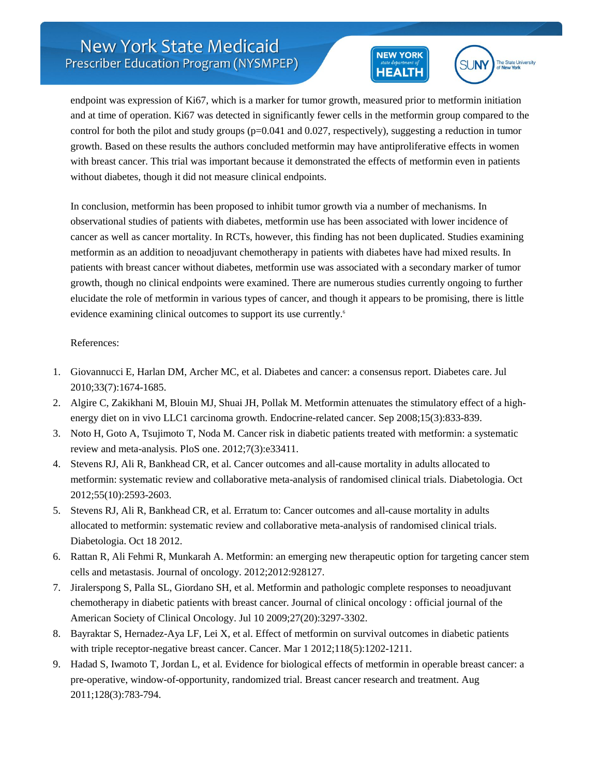## **NEW YORK HEALTH**



endpoint was expression of Ki67, which is a marker for tumor growth, measured prior to metformin initiation and at time of operation. Ki67 was detected in significantly fewer cells in the metformin group compared to the control for both the pilot and study groups (p=0.041 and 0.027, respectively), suggesting a reduction in tumor growth. Based on these results the authors concluded metformin may have antiproliferative effects in women with breast cancer. This trial was important because it demonstrated the effects of metformin even in patients without diabetes, though it did not measure clinical endpoints.

In conclusion, metformin has been proposed to inhibit tumor growth via a number of mechanisms. In observational studies of patients with diabetes, metformin use has been associated with lower incidence of cancer as well as cancer mortality. In RCTs, however, this finding has not been duplicated. Studies examining metformin as an addition to neoadjuvant chemotherapy in patients with diabetes have had mixed results. In patients with breast cancer without diabetes, metformin use was associated with a secondary marker of tumor growth, though no clinical endpoints were examined. There are numerous studies currently ongoing to further elucidate the role of metformin in various types of cancer, and though it appears to be promising, there is little evidence examining clinical outcomes to support its use currently.<sup>6</sup>

## References:

- 1. Giovannucci E, Harlan DM, Archer MC, et al. Diabetes and cancer: a consensus report. Diabetes care. Jul 2010;33(7):1674-1685.
- 2. Algire C, Zakikhani M, Blouin MJ, Shuai JH, Pollak M. Metformin attenuates the stimulatory effect of a highenergy diet on in vivo LLC1 carcinoma growth. Endocrine-related cancer. Sep 2008;15(3):833-839.
- 3. Noto H, Goto A, Tsujimoto T, Noda M. Cancer risk in diabetic patients treated with metformin: a systematic review and meta-analysis. PloS one. 2012;7(3):e33411.
- 4. Stevens RJ, Ali R, Bankhead CR, et al. Cancer outcomes and all-cause mortality in adults allocated to metformin: systematic review and collaborative meta-analysis of randomised clinical trials. Diabetologia. Oct 2012;55(10):2593-2603.
- 5. Stevens RJ, Ali R, Bankhead CR, et al. Erratum to: Cancer outcomes and all-cause mortality in adults allocated to metformin: systematic review and collaborative meta-analysis of randomised clinical trials. Diabetologia. Oct 18 2012.
- 6. Rattan R, Ali Fehmi R, Munkarah A. Metformin: an emerging new therapeutic option for targeting cancer stem cells and metastasis. Journal of oncology. 2012;2012:928127.
- 7. Jiralerspong S, Palla SL, Giordano SH, et al. Metformin and pathologic complete responses to neoadjuvant chemotherapy in diabetic patients with breast cancer. Journal of clinical oncology : official journal of the American Society of Clinical Oncology. Jul 10 2009;27(20):3297-3302.
- 8. Bayraktar S, Hernadez-Aya LF, Lei X, et al. Effect of metformin on survival outcomes in diabetic patients with triple receptor-negative breast cancer. Cancer. Mar  $1\ 2012;118(5):1202-1211$ .
- 9. Hadad S, Iwamoto T, Jordan L, et al. Evidence for biological effects of metformin in operable breast cancer: a pre-operative, window-of-opportunity, randomized trial. Breast cancer research and treatment. Aug 2011;128(3):783-794.